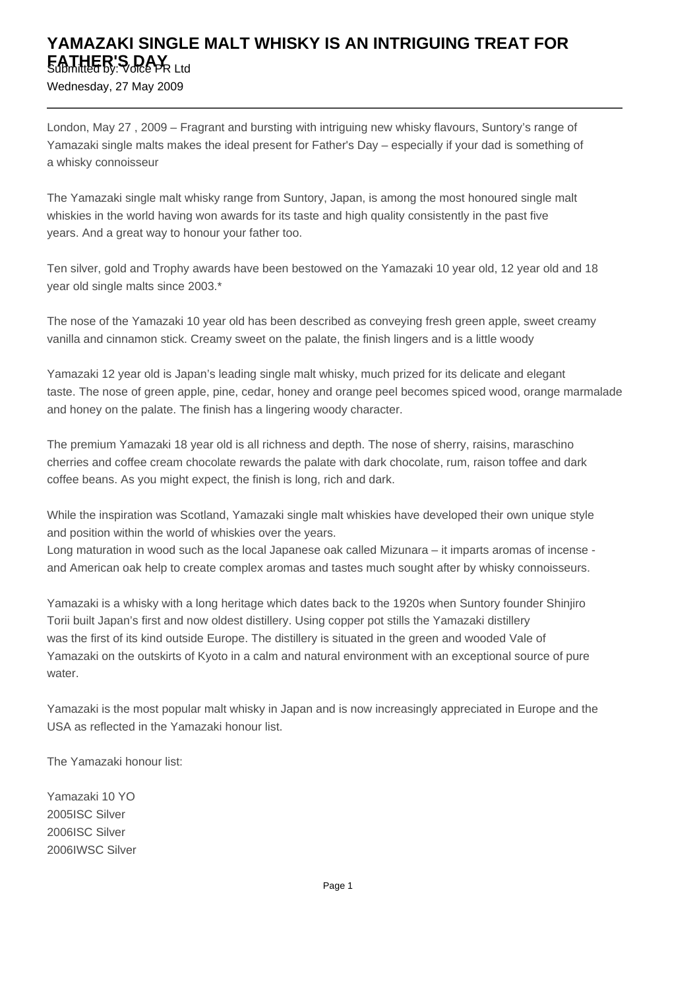## **YAMAZAKI SINGLE MALT WHISKY IS AN INTRIGUING TREAT FOR FATHER'S DAY** Ltd

Wednesday, 27 May 2009

London, May 27 , 2009 – Fragrant and bursting with intriguing new whisky flavours, Suntory's range of Yamazaki single malts makes the ideal present for Father's Day – especially if your dad is something of a whisky connoisseur

The Yamazaki single malt whisky range from Suntory, Japan, is among the most honoured single malt whiskies in the world having won awards for its taste and high quality consistently in the past five years. And a great way to honour your father too.

Ten silver, gold and Trophy awards have been bestowed on the Yamazaki 10 year old, 12 year old and 18 year old single malts since 2003.\*

The nose of the Yamazaki 10 year old has been described as conveying fresh green apple, sweet creamy vanilla and cinnamon stick. Creamy sweet on the palate, the finish lingers and is a little woody

Yamazaki 12 year old is Japan's leading single malt whisky, much prized for its delicate and elegant taste. The nose of green apple, pine, cedar, honey and orange peel becomes spiced wood, orange marmalade and honey on the palate. The finish has a lingering woody character.

The premium Yamazaki 18 year old is all richness and depth. The nose of sherry, raisins, maraschino cherries and coffee cream chocolate rewards the palate with dark chocolate, rum, raison toffee and dark coffee beans. As you might expect, the finish is long, rich and dark. 

While the inspiration was Scotland, Yamazaki single malt whiskies have developed their own unique style and position within the world of whiskies over the years.

Long maturation in wood such as the local Japanese oak called Mizunara – it imparts aromas of incense and American oak help to create complex aromas and tastes much sought after by whisky connoisseurs. 

Yamazaki is a whisky with a long heritage which dates back to the 1920s when Suntory founder Shinjiro Torii built Japan's first and now oldest distillery. Using copper pot stills the Yamazaki distillery was the first of its kind outside Europe. The distillery is situated in the green and wooded Vale of Yamazaki on the outskirts of Kyoto in a calm and natural environment with an exceptional source of pure water.

Yamazaki is the most popular malt whisky in Japan and is now increasingly appreciated in Europe and the USA as reflected in the Yamazaki honour list.

The Yamazaki honour list:

Yamazaki 10 YO 2005 ISC Silver 2006 ISC Silver 2006 IWSC Silver